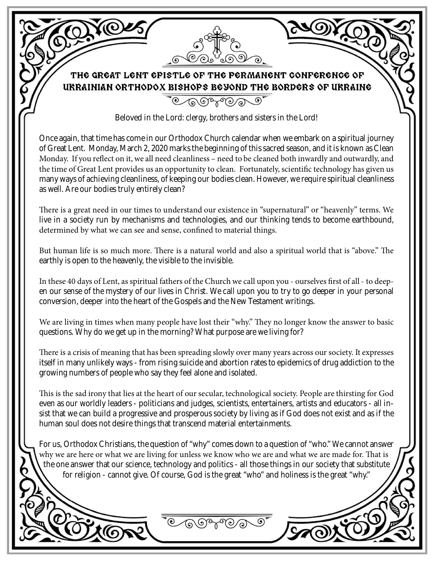THE GREAT LENT EPISTLE OF THE PERMANENT CONFERENCE OF URRAINIAN ORTHODOX BISHOPS BEYOND THE BORDERS OF URRAINE

 $\overline{\mathcal{C} \cap \mathcal{O} \cap \mathcal{C}}$ 

Beloved in the Lord: clergy, brothers and sisters in the Lord!

Once again, that time has come in our Orthodox Church calendar when we embark on a spiritual journey of Great Lent. Monday, March 2, 2020 marks the beginning of this sacred season, and it is known as Clean Monday. If you reflect on it, we all need cleanliness – need to be cleaned both inwardly and outwardly, and the time of Great Lent provides us an opportunity to clean. Fortunately, scientific technology has given us many ways of achieving cleanliness, of keeping our bodies clean. However, we require spiritual cleanliness as well. Are our bodies truly entirely clean?

There is a great need in our times to understand our existence in "supernatural" or "heavenly" terms. We live in a society run by mechanisms and technologies, and our thinking tends to become earthbound, determined by what we can see and sense, confined to material things.

But human life is so much more. There is a natural world and also a spiritual world that is "above." The earthly is open to the heavenly, the visible to the invisible.

In these 40 days of Lent, as spiritual fathers of the Church we call upon you - ourselves first of all - to deepen our sense of the mystery of our lives in Christ. We call upon you to try to go deeper in your personal conversion, deeper into the heart of the Gospels and the New Testament writings.

We are living in times when many people have lost their "why." They no longer know the answer to basic questions. Why do we get up in the morning? What purpose are we living for?

There is a crisis of meaning that has been spreading slowly over many years across our society. It expresses itself in many unlikely ways - from rising suicide and abortion rates to epidemics of drug addiction to the growing numbers of people who say they feel alone and isolated.

This is the sad irony that lies at the heart of our secular, technological society. People are thirsting for God even as our worldly leaders - politicians and judges, scientists, entertainers, artists and educators - all insist that we can build a progressive and prosperous society by living as if God does not exist and as if the human soul does not desire things that transcend material entertainments.

For us, Orthodox Christians, the question of "why" comes down to a question of "who." We cannot answer why we are here or what we are living for unless we know who we are and what we are made for. That is the one answer that our science, technology and politics - all those things in our society that substitute for religion - cannot give. Of course, God is the great "who" and holiness is the great "why."

಄ಀಀ಄಄